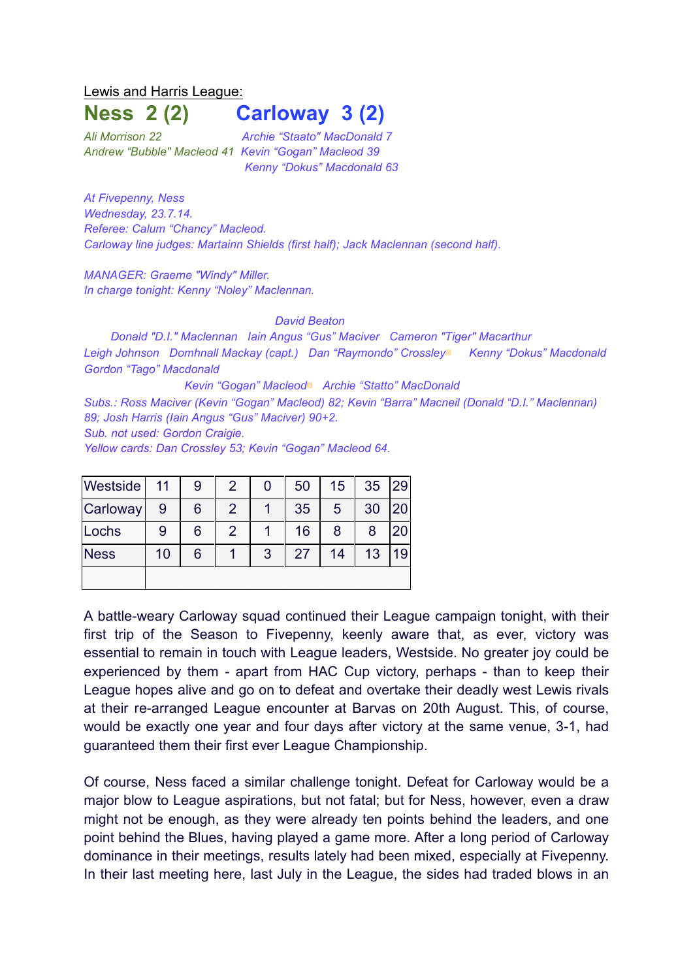Lewis and Harris League:

## **Ness 2 (2) Carloway 3 (2)**

*Ali Morrison 22 Archie "Staato" MacDonald 7 Andrew "Bubble" Macleod 41 Kevin "Gogan" Macleod 39 Kenny "Dokus" Macdonald 63*

*At Fivepenny, Ness Wednesday, 23.7.14. Referee: Calum "Chancy" Macleod. Carloway line judges: Martainn Shields (first half); Jack Maclennan (second half)*.

*MANAGER: Graeme "Windy" Miller. In charge tonight: Kenny "Noley" Maclennan.* 

*David Beaton*

*Donald "D.I." Maclennan Iain Angus "Gus" Maciver Cameron "Tiger" Macarthur Leigh Johnson Domhnall Mackay (capt.) Dan "Raymondo" Crossley*▩ *Kenny "Dokus" Macdonald Gordon "Tago" Macdonald*

*Kevin "Gogan" Macleod*▩ *Archie "Statto" MacDonald Subs.: Ross Maciver (Kevin "Gogan" Macleod) 82; Kevin "Barra" Macneil (Donald "D.I." Maclennan) 89; Josh Harris (Iain Angus "Gus" Maciver) 90+2. Sub. not used: Gordon Craigie.*

*Yellow cards: Dan Crossley 53; Kevin "Gogan" Macleod 64.*

| Westside    | 11 | 9 | 2 | 0 | 50 | 15 | 35 | 29 |
|-------------|----|---|---|---|----|----|----|----|
| Carloway    | 9  | 6 | 2 |   | 35 | 5  | 30 | 20 |
| Lochs       | 9  | 6 | 2 |   | 16 | 8  | 8  | 20 |
| <b>Ness</b> | 10 | 6 |   | 3 | 27 | 14 | 13 | 19 |
|             |    |   |   |   |    |    |    |    |

A battle-weary Carloway squad continued their League campaign tonight, with their first trip of the Season to Fivepenny, keenly aware that, as ever, victory was essential to remain in touch with League leaders, Westside. No greater joy could be experienced by them - apart from HAC Cup victory, perhaps - than to keep their League hopes alive and go on to defeat and overtake their deadly west Lewis rivals at their re-arranged League encounter at Barvas on 20th August. This, of course, would be exactly one year and four days after victory at the same venue, 3-1, had guaranteed them their first ever League Championship.

Of course, Ness faced a similar challenge tonight. Defeat for Carloway would be a major blow to League aspirations, but not fatal; but for Ness, however, even a draw might not be enough, as they were already ten points behind the leaders, and one point behind the Blues, having played a game more. After a long period of Carloway dominance in their meetings, results lately had been mixed, especially at Fivepenny. In their last meeting here, last July in the League, the sides had traded blows in an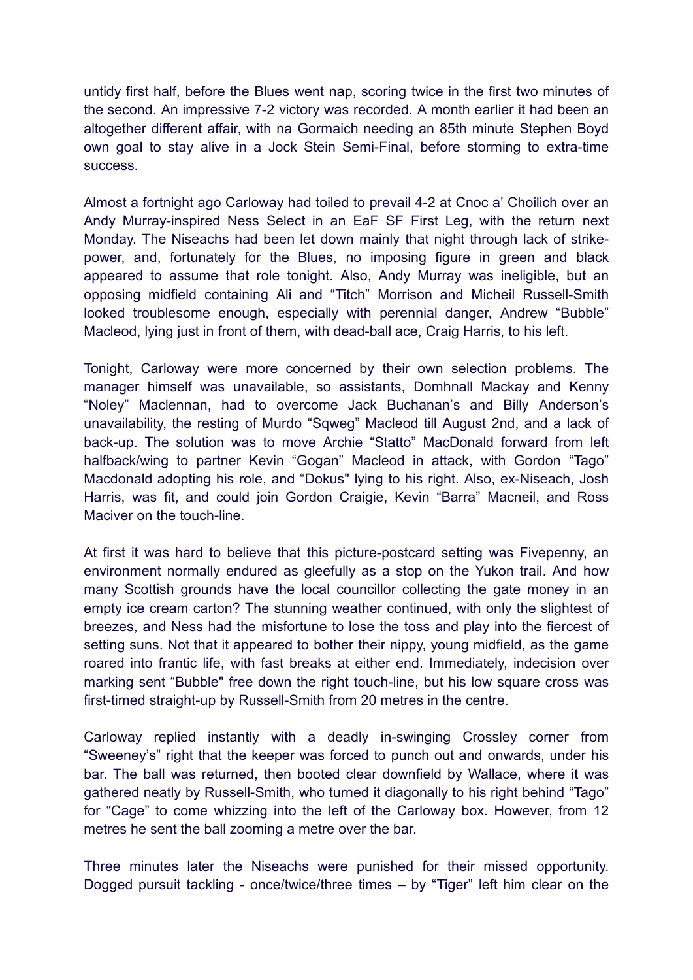untidy first half, before the Blues went nap, scoring twice in the first two minutes of the second. An impressive 7-2 victory was recorded. A month earlier it had been an altogether different affair, with na Gormaich needing an 85th minute Stephen Boyd own goal to stay alive in a Jock Stein Semi-Final, before storming to extra-time success.

Almost a fortnight ago Carloway had toiled to prevail 4-2 at Cnoc a' Choilich over an Andy Murray-inspired Ness Select in an EaF SF First Leg, with the return next Monday. The Niseachs had been let down mainly that night through lack of strikepower, and, fortunately for the Blues, no imposing figure in green and black appeared to assume that role tonight. Also, Andy Murray was ineligible, but an opposing midfield containing Ali and "Titch" Morrison and Micheil Russell-Smith looked troublesome enough, especially with perennial danger, Andrew "Bubble" Macleod, lying just in front of them, with dead-ball ace, Craig Harris, to his left.

Tonight, Carloway were more concerned by their own selection problems. The manager himself was unavailable, so assistants, Domhnall Mackay and Kenny "Noley" Maclennan, had to overcome Jack Buchanan's and Billy Anderson's unavailability, the resting of Murdo "Sqweg" Macleod till August 2nd, and a lack of back-up. The solution was to move Archie "Statto" MacDonald forward from left halfback/wing to partner Kevin "Gogan" Macleod in attack, with Gordon "Tago" Macdonald adopting his role, and "Dokus" lying to his right. Also, ex-Niseach, Josh Harris, was fit, and could join Gordon Craigie, Kevin "Barra" Macneil, and Ross Maciver on the touch-line.

At first it was hard to believe that this picture-postcard setting was Fivepenny, an environment normally endured as gleefully as a stop on the Yukon trail. And how many Scottish grounds have the local councillor collecting the gate money in an empty ice cream carton? The stunning weather continued, with only the slightest of breezes, and Ness had the misfortune to lose the toss and play into the fiercest of setting suns. Not that it appeared to bother their nippy, young midfield, as the game roared into frantic life, with fast breaks at either end. Immediately, indecision over marking sent "Bubble" free down the right touch-line, but his low square cross was first-timed straight-up by Russell-Smith from 20 metres in the centre.

Carloway replied instantly with a deadly in-swinging Crossley corner from "Sweeney's" right that the keeper was forced to punch out and onwards, under his bar. The ball was returned, then booted clear downfield by Wallace, where it was gathered neatly by Russell-Smith, who turned it diagonally to his right behind "Tago" for "Cage" to come whizzing into the left of the Carloway box. However, from 12 metres he sent the ball zooming a metre over the bar.

Three minutes later the Niseachs were punished for their missed opportunity. Dogged pursuit tackling - once/twice/three times – by "Tiger" left him clear on the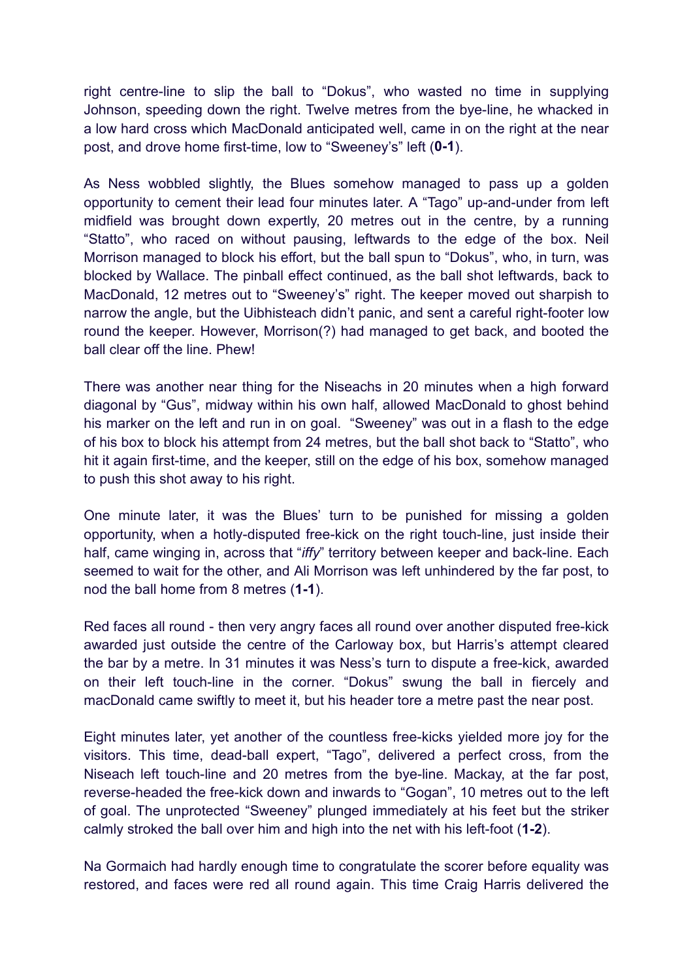right centre-line to slip the ball to "Dokus", who wasted no time in supplying Johnson, speeding down the right. Twelve metres from the bye-line, he whacked in a low hard cross which MacDonald anticipated well, came in on the right at the near post, and drove home first-time, low to "Sweeney's" left (**0-1**).

As Ness wobbled slightly, the Blues somehow managed to pass up a golden opportunity to cement their lead four minutes later. A "Tago" up-and-under from left midfield was brought down expertly, 20 metres out in the centre, by a running "Statto", who raced on without pausing, leftwards to the edge of the box. Neil Morrison managed to block his effort, but the ball spun to "Dokus", who, in turn, was blocked by Wallace. The pinball effect continued, as the ball shot leftwards, back to MacDonald, 12 metres out to "Sweeney's" right. The keeper moved out sharpish to narrow the angle, but the Uibhisteach didn't panic, and sent a careful right-footer low round the keeper. However, Morrison(?) had managed to get back, and booted the ball clear off the line. Phew!

There was another near thing for the Niseachs in 20 minutes when a high forward diagonal by "Gus", midway within his own half, allowed MacDonald to ghost behind his marker on the left and run in on goal. "Sweeney" was out in a flash to the edge of his box to block his attempt from 24 metres, but the ball shot back to "Statto", who hit it again first-time, and the keeper, still on the edge of his box, somehow managed to push this shot away to his right.

One minute later, it was the Blues' turn to be punished for missing a golden opportunity, when a hotly-disputed free-kick on the right touch-line, just inside their half, came winging in, across that "*iffy*" territory between keeper and back-line. Each seemed to wait for the other, and Ali Morrison was left unhindered by the far post, to nod the ball home from 8 metres (**1-1**).

Red faces all round - then very angry faces all round over another disputed free-kick awarded just outside the centre of the Carloway box, but Harris's attempt cleared the bar by a metre. In 31 minutes it was Ness's turn to dispute a free-kick, awarded on their left touch-line in the corner. "Dokus" swung the ball in fiercely and macDonald came swiftly to meet it, but his header tore a metre past the near post.

Eight minutes later, yet another of the countless free-kicks yielded more joy for the visitors. This time, dead-ball expert, "Tago", delivered a perfect cross, from the Niseach left touch-line and 20 metres from the bye-line. Mackay, at the far post, reverse-headed the free-kick down and inwards to "Gogan", 10 metres out to the left of goal. The unprotected "Sweeney" plunged immediately at his feet but the striker calmly stroked the ball over him and high into the net with his left-foot (**1-2**).

Na Gormaich had hardly enough time to congratulate the scorer before equality was restored, and faces were red all round again. This time Craig Harris delivered the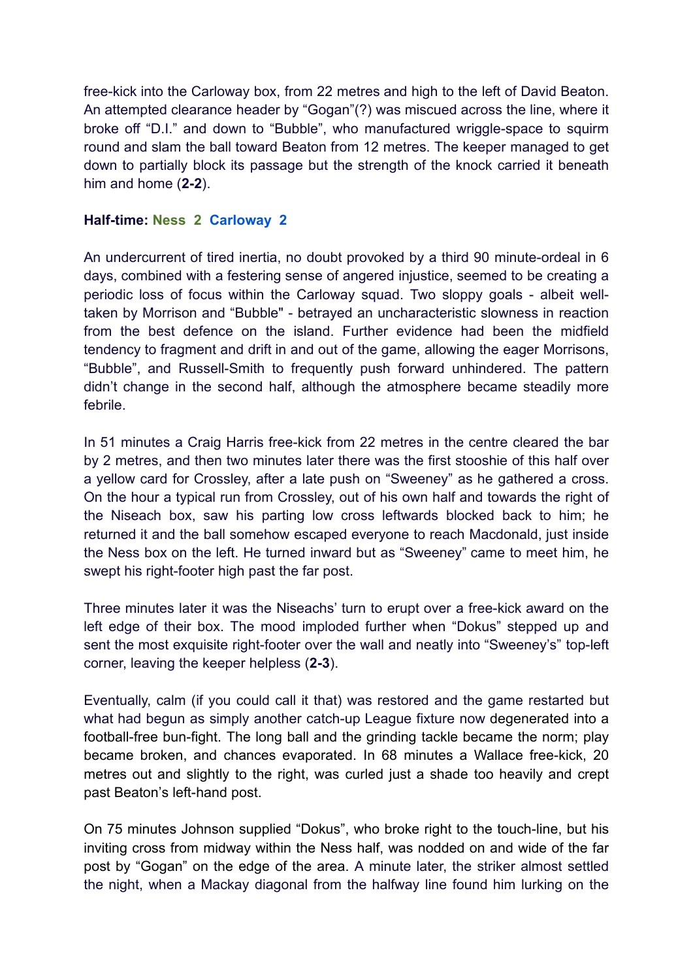free-kick into the Carloway box, from 22 metres and high to the left of David Beaton. An attempted clearance header by "Gogan"(?) was miscued across the line, where it broke off "D.I." and down to "Bubble", who manufactured wriggle-space to squirm round and slam the ball toward Beaton from 12 metres. The keeper managed to get down to partially block its passage but the strength of the knock carried it beneath him and home (**2-2**).

## **Half-time: Ness 2 Carloway 2**

An undercurrent of tired inertia, no doubt provoked by a third 90 minute-ordeal in 6 days, combined with a festering sense of angered injustice, seemed to be creating a periodic loss of focus within the Carloway squad. Two sloppy goals - albeit welltaken by Morrison and "Bubble" - betrayed an uncharacteristic slowness in reaction from the best defence on the island. Further evidence had been the midfield tendency to fragment and drift in and out of the game, allowing the eager Morrisons, "Bubble", and Russell-Smith to frequently push forward unhindered. The pattern didn't change in the second half, although the atmosphere became steadily more febrile.

In 51 minutes a Craig Harris free-kick from 22 metres in the centre cleared the bar by 2 metres, and then two minutes later there was the first stooshie of this half over a yellow card for Crossley, after a late push on "Sweeney" as he gathered a cross. On the hour a typical run from Crossley, out of his own half and towards the right of the Niseach box, saw his parting low cross leftwards blocked back to him; he returned it and the ball somehow escaped everyone to reach Macdonald, just inside the Ness box on the left. He turned inward but as "Sweeney" came to meet him, he swept his right-footer high past the far post.

Three minutes later it was the Niseachs' turn to erupt over a free-kick award on the left edge of their box. The mood imploded further when "Dokus" stepped up and sent the most exquisite right-footer over the wall and neatly into "Sweeney's" top-left corner, leaving the keeper helpless (**2-3**).

Eventually, calm (if you could call it that) was restored and the game restarted but what had begun as simply another catch-up League fixture now degenerated into a football-free bun-fight. The long ball and the grinding tackle became the norm; play became broken, and chances evaporated. In 68 minutes a Wallace free-kick, 20 metres out and slightly to the right, was curled just a shade too heavily and crept past Beaton's left-hand post.

On 75 minutes Johnson supplied "Dokus", who broke right to the touch-line, but his inviting cross from midway within the Ness half, was nodded on and wide of the far post by "Gogan" on the edge of the area. A minute later, the striker almost settled the night, when a Mackay diagonal from the halfway line found him lurking on the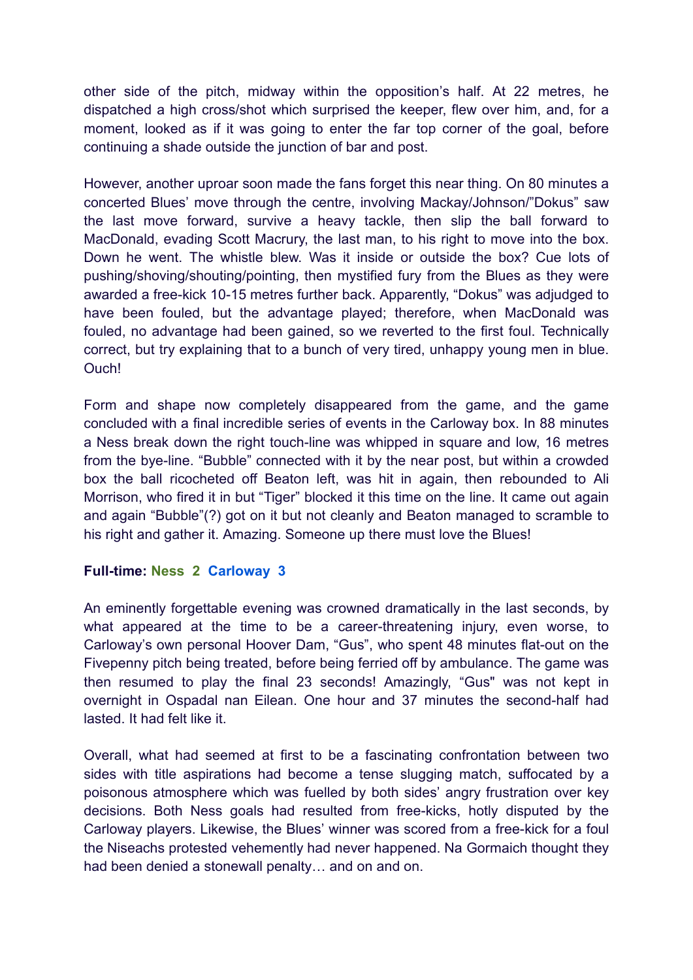other side of the pitch, midway within the opposition's half. At 22 metres, he dispatched a high cross/shot which surprised the keeper, flew over him, and, for a moment, looked as if it was going to enter the far top corner of the goal, before continuing a shade outside the junction of bar and post.

However, another uproar soon made the fans forget this near thing. On 80 minutes a concerted Blues' move through the centre, involving Mackay/Johnson/"Dokus" saw the last move forward, survive a heavy tackle, then slip the ball forward to MacDonald, evading Scott Macrury, the last man, to his right to move into the box. Down he went. The whistle blew. Was it inside or outside the box? Cue lots of pushing/shoving/shouting/pointing, then mystified fury from the Blues as they were awarded a free-kick 10-15 metres further back. Apparently, "Dokus" was adjudged to have been fouled, but the advantage played; therefore, when MacDonald was fouled, no advantage had been gained, so we reverted to the first foul. Technically correct, but try explaining that to a bunch of very tired, unhappy young men in blue. Ouch!

Form and shape now completely disappeared from the game, and the game concluded with a final incredible series of events in the Carloway box. In 88 minutes a Ness break down the right touch-line was whipped in square and low, 16 metres from the bye-line. "Bubble" connected with it by the near post, but within a crowded box the ball ricocheted off Beaton left, was hit in again, then rebounded to Ali Morrison, who fired it in but "Tiger" blocked it this time on the line. It came out again and again "Bubble"(?) got on it but not cleanly and Beaton managed to scramble to his right and gather it. Amazing. Someone up there must love the Blues!

## **Full-time: Ness 2 Carloway 3**

An eminently forgettable evening was crowned dramatically in the last seconds, by what appeared at the time to be a career-threatening injury, even worse, to Carloway's own personal Hoover Dam, "Gus", who spent 48 minutes flat-out on the Fivepenny pitch being treated, before being ferried off by ambulance. The game was then resumed to play the final 23 seconds! Amazingly, "Gus" was not kept in overnight in Ospadal nan Eilean. One hour and 37 minutes the second-half had lasted. It had felt like it.

Overall, what had seemed at first to be a fascinating confrontation between two sides with title aspirations had become a tense slugging match, suffocated by a poisonous atmosphere which was fuelled by both sides' angry frustration over key decisions. Both Ness goals had resulted from free-kicks, hotly disputed by the Carloway players. Likewise, the Blues' winner was scored from a free-kick for a foul the Niseachs protested vehemently had never happened. Na Gormaich thought they had been denied a stonewall penalty… and on and on.